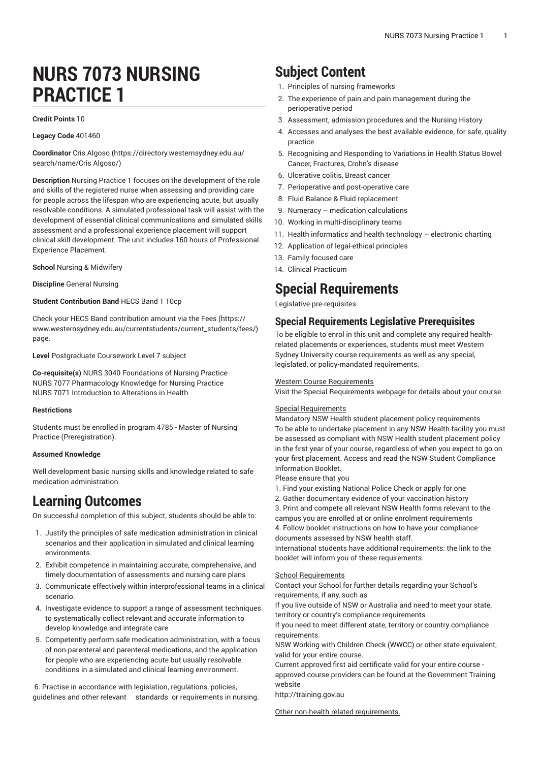# **NURS 7073 NURSING PRACTICE 1**

#### **Credit Points** 10

**Legacy Code** 401460

**Coordinator** [Cris Algoso](https://directory.westernsydney.edu.au/search/name/Cris Algoso/) [\(https://directory.westernsydney.edu.au/](https://directory.westernsydney.edu.au/search/name/Cris Algoso/) [search/name/Cris](https://directory.westernsydney.edu.au/search/name/Cris Algoso/) Algoso/)

**Description** Nursing Practice 1 focuses on the development of the role and skills of the registered nurse when assessing and providing care for people across the lifespan who are experiencing acute, but usually resolvable conditions. A simulated professional task will assist with the development of essential clinical communications and simulated skills assessment and a professional experience placement will support clinical skill development. The unit includes 160 hours of Professional Experience Placement.

**School** Nursing & Midwifery

**Discipline** General Nursing

#### **Student Contribution Band** HECS Band 1 10cp

Check your HECS Band contribution amount via the [Fees \(https://](https://www.westernsydney.edu.au/currentstudents/current_students/fees/) [www.westernsydney.edu.au/currentstudents/current\\_students/fees/\)](https://www.westernsydney.edu.au/currentstudents/current_students/fees/) page.

**Level** Postgraduate Coursework Level 7 subject

**Co-requisite(s)** [NURS 3040](/search/?P=NURS%203040) Foundations of Nursing Practice [NURS 7077](/search/?P=NURS%207077) Pharmacology Knowledge for Nursing Practice [NURS 7071](/search/?P=NURS%207071) Introduction to Alterations in Health

#### **Restrictions**

Students must be enrolled in program 4785 - Master of Nursing Practice (Preregistration).

#### **Assumed Knowledge**

Well development basic nursing skills and knowledge related to safe medication administration.

# **Learning Outcomes**

On successful completion of this subject, students should be able to:

- 1. Justify the principles of safe medication administration in clinical scenarios and their application in simulated and clinical learning environments.
- 2. Exhibit competence in maintaining accurate, comprehensive, and timely documentation of assessments and nursing care plans
- 3. Communicate effectively within interprofessional teams in a clinical scenario.
- 4. Investigate evidence to support a range of assessment techniques to systematically collect relevant and accurate information to develop knowledge and integrate care
- 5. Competently perform safe medication administration, with a focus of non-parenteral and parenteral medications, and the application for people who are experiencing acute but usually resolvable conditions in a simulated and clinical learning environment.

6. Practise in accordance with legislation, regulations, policies, guidelines and other relevant standards or requirements in nursing.

# **Subject Content**

- 1. Principles of nursing frameworks
- 2. The experience of pain and pain management during the perioperative period
- 3. Assessment, admission procedures and the Nursing History
- 4. Accesses and analyses the best available evidence, for safe, quality practice
- 5. Recognising and Responding to Variations in Health Status Bowel Cancer, Fractures, Crohn's disease
- 6. Ulcerative colitis, Breast cancer
- 7. Perioperative and post-operative care
- 8. Fluid Balance & Fluid replacement
- 9. Numeracy medication calculations
- 10. Working in multi-disciplinary teams
- 11. Health informatics and health technology electronic charting
- 12. Application of legal-ethical principles
- 13. Family focused care
- 14. Clinical Practicum

# **Special Requirements**

Legislative pre-requisites

### **Special Requirements Legislative Prerequisites**

To be eligible to enrol in this unit and complete any required healthrelated placements or experiences, students must meet Western Sydney University course requirements as well as any special, legislated, or policy-mandated requirements.

#### Western Course Requirements

Visit the Special Requirements webpage for details about your course.

#### Special Requirements

Mandatory NSW Health student placement policy requirements To be able to undertake placement in any NSW Health facility you must be assessed as compliant with NSW Health student placement policy in the first year of your course, regardless of when you expect to go on your first placement. Access and read the NSW Student Compliance Information Booklet.

Please ensure that you

- 1. Find your existing National Police Check or apply for one
- 2. Gather documentary evidence of your vaccination history
- 3. Print and compete all relevant NSW Health forms relevant to the campus you are enrolled at or online enrolment requirements
- 4. Follow booklet instructions on how to have your compliance documents assessed by NSW health staff.

International students have additional requirements: the link to the booklet will inform you of these requirements.

#### School Requirements

Contact your School for further details regarding your School's requirements, if any, such as

If you live outside of NSW or Australia and need to meet your state, territory or country's compliance requirements

If you need to meet different state, territory or country compliance requirements.

NSW Working with Children Check (WWCC) or other state equivalent, valid for your entire course.

Current approved first aid certificate valid for your entire course approved course providers can be found at the Government Training website

<http://training.gov.au>

Other non-health related requirements.